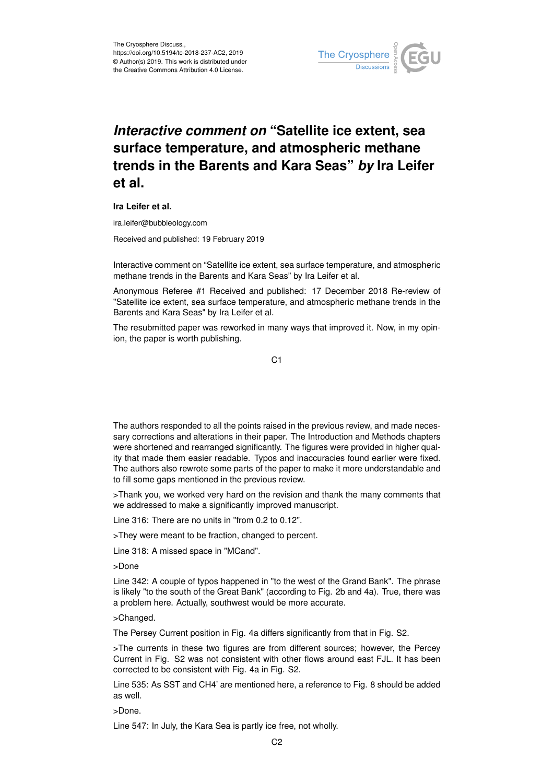

## *Interactive comment on* **"Satellite ice extent, sea surface temperature, and atmospheric methane trends in the Barents and Kara Seas"** *by* **Ira Leifer et al.**

**Ira Leifer et al.**

ira.leifer@bubbleology.com

Received and published: 19 February 2019

Interactive comment on "Satellite ice extent, sea surface temperature, and atmospheric methane trends in the Barents and Kara Seas" by Ira Leifer et al.

Anonymous Referee #1 Received and published: 17 December 2018 Re-review of "Satellite ice extent, sea surface temperature, and atmospheric methane trends in the Barents and Kara Seas" by Ira Leifer et al.

The resubmitted paper was reworked in many ways that improved it. Now, in my opinion, the paper is worth publishing.

C<sub>1</sub>

The authors responded to all the points raised in the previous review, and made necessary corrections and alterations in their paper. The Introduction and Methods chapters were shortened and rearranged significantly. The figures were provided in higher quality that made them easier readable. Typos and inaccuracies found earlier were fixed. The authors also rewrote some parts of the paper to make it more understandable and to fill some gaps mentioned in the previous review.

>Thank you, we worked very hard on the revision and thank the many comments that we addressed to make a significantly improved manuscript.

Line 316: There are no units in "from 0.2 to 0.12".

>They were meant to be fraction, changed to percent.

Line 318: A missed space in "MCand".

>Done

Line 342: A couple of typos happened in "to the west of the Grand Bank". The phrase is likely "to the south of the Great Bank" (according to Fig. 2b and 4a). True, there was a problem here. Actually, southwest would be more accurate.

>Changed.

The Persey Current position in Fig. 4a differs significantly from that in Fig. S2.

>The currents in these two figures are from different sources; however, the Percey Current in Fig. S2 was not consistent with other flows around east FJL. It has been corrected to be consistent with Fig. 4a in Fig. S2.

Line 535: As SST and CH4' are mentioned here, a reference to Fig. 8 should be added as well.

>Done.

Line 547: In July, the Kara Sea is partly ice free, not wholly.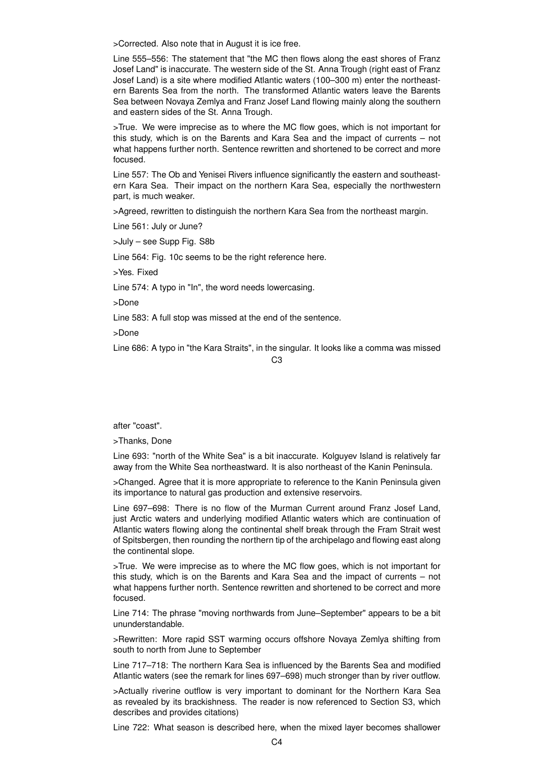>Corrected. Also note that in August it is ice free.

Line 555–556: The statement that "the MC then flows along the east shores of Franz Josef Land" is inaccurate. The western side of the St. Anna Trough (right east of Franz Josef Land) is a site where modified Atlantic waters (100–300 m) enter the northeastern Barents Sea from the north. The transformed Atlantic waters leave the Barents Sea between Novaya Zemlya and Franz Josef Land flowing mainly along the southern and eastern sides of the St. Anna Trough.

>True. We were imprecise as to where the MC flow goes, which is not important for this study, which is on the Barents and Kara Sea and the impact of currents – not what happens further north. Sentence rewritten and shortened to be correct and more focused.

Line 557: The Ob and Yenisei Rivers influence significantly the eastern and southeastern Kara Sea. Their impact on the northern Kara Sea, especially the northwestern part, is much weaker.

>Agreed, rewritten to distinguish the northern Kara Sea from the northeast margin.

Line 561: July or June?

>July – see Supp Fig. S8b

Line 564: Fig. 10c seems to be the right reference here.

>Yes. Fixed

Line 574: A typo in "In", the word needs lowercasing.

>Done

Line 583: A full stop was missed at the end of the sentence.

>Done

Line 686: A typo in "the Kara Straits", in the singular. It looks like a comma was missed

## $C<sub>3</sub>$

after "coast".

>Thanks, Done

Line 693: "north of the White Sea" is a bit inaccurate. Kolguyev Island is relatively far away from the White Sea northeastward. It is also northeast of the Kanin Peninsula.

>Changed. Agree that it is more appropriate to reference to the Kanin Peninsula given its importance to natural gas production and extensive reservoirs.

Line 697–698: There is no flow of the Murman Current around Franz Josef Land, just Arctic waters and underlying modified Atlantic waters which are continuation of Atlantic waters flowing along the continental shelf break through the Fram Strait west of Spitsbergen, then rounding the northern tip of the archipelago and flowing east along the continental slope.

>True. We were imprecise as to where the MC flow goes, which is not important for this study, which is on the Barents and Kara Sea and the impact of currents – not what happens further north. Sentence rewritten and shortened to be correct and more focused.

Line 714: The phrase "moving northwards from June–September" appears to be a bit ununderstandable.

>Rewritten: More rapid SST warming occurs offshore Novaya Zemlya shifting from south to north from June to September

Line 717–718: The northern Kara Sea is influenced by the Barents Sea and modified Atlantic waters (see the remark for lines 697–698) much stronger than by river outflow.

>Actually riverine outflow is very important to dominant for the Northern Kara Sea as revealed by its brackishness. The reader is now referenced to Section S3, which describes and provides citations)

Line 722: What season is described here, when the mixed layer becomes shallower